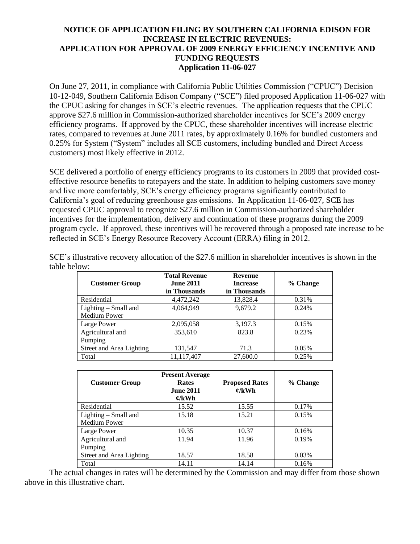#### **NOTICE OF APPLICATION FILING BY SOUTHERN CALIFORNIA EDISON FOR INCREASE IN ELECTRIC REVENUES: APPLICATION FOR APPROVAL OF 2009 ENERGY EFFICIENCY INCENTIVE AND FUNDING REQUESTS Application 11-06-027**

On June 27, 2011, in compliance with California Public Utilities Commission ("CPUC") Decision 10-12-049, Southern California Edison Company ("SCE") filed proposed Application 11-06-027 with the CPUC asking for changes in SCE's electric revenues. The application requests that the CPUC approve \$27.6 million in Commission-authorized shareholder incentives for SCE's 2009 energy efficiency programs. If approved by the CPUC, these shareholder incentives will increase electric rates, compared to revenues at June 2011 rates, by approximately 0.16% for bundled customers and 0.25% for System ("System" includes all SCE customers, including bundled and Direct Access customers) most likely effective in 2012.

SCE delivered a portfolio of energy efficiency programs to its customers in 2009 that provided costeffective resource benefits to ratepayers and the state. In addition to helping customers save money and live more comfortably, SCE's energy efficiency programs significantly contributed to California's goal of reducing greenhouse gas emissions. In Application 11-06-027, SCE has requested CPUC approval to recognize \$27.6 million in Commission-authorized shareholder incentives for the implementation, delivery and continuation of these programs during the 2009 program cycle. If approved, these incentives will be recovered through a proposed rate increase to be reflected in SCE's Energy Resource Recovery Account (ERRA) filing in 2012.

| <b>Customer Group</b>                  | <b>Total Revenue</b><br><b>June 2011</b><br>in Thousands | <b>Revenue</b><br><b>Increase</b><br>in Thousands | % Change |
|----------------------------------------|----------------------------------------------------------|---------------------------------------------------|----------|
| Residential                            | 4,472,242                                                | 13,828.4                                          | 0.31%    |
| Lighting $-$ Small and<br>Medium Power | 4,064,949                                                | 9,679.2                                           | 0.24%    |
| Large Power                            | 2,095,058                                                | 3,197.3                                           | 0.15%    |
| Agricultural and<br>Pumping            | 353,610                                                  | 823.8                                             | 0.23%    |
| Street and Area Lighting               | 131,547                                                  | 71.3                                              | $0.05\%$ |
| Total                                  | 11,117,407                                               | 27,600.0                                          | 0.25%    |

SCE's illustrative recovery allocation of the \$27.6 million in shareholder incentives is shown in the table below:

| <b>Customer Group</b>    | <b>Present Average</b><br><b>Rates</b><br><b>June 2011</b><br>$\mathfrak{C}/kWh$ | <b>Proposed Rates</b><br>$\mathfrak{C}/kWh$ | % Change |
|--------------------------|----------------------------------------------------------------------------------|---------------------------------------------|----------|
| Residential              | 15.52                                                                            | 15.55                                       | 0.17%    |
| Lighting - Small and     | 15.18                                                                            | 15.21                                       | 0.15%    |
| <b>Medium Power</b>      |                                                                                  |                                             |          |
| Large Power              | 10.35                                                                            | 10.37                                       | 0.16%    |
| Agricultural and         | 11.94                                                                            | 11.96                                       | 0.19%    |
| Pumping                  |                                                                                  |                                             |          |
| Street and Area Lighting | 18.57                                                                            | 18.58                                       | 0.03%    |
| Total                    | 14.11                                                                            | 14.14                                       | 0.16%    |

The actual changes in rates will be determined by the Commission and may differ from those shown above in this illustrative chart.